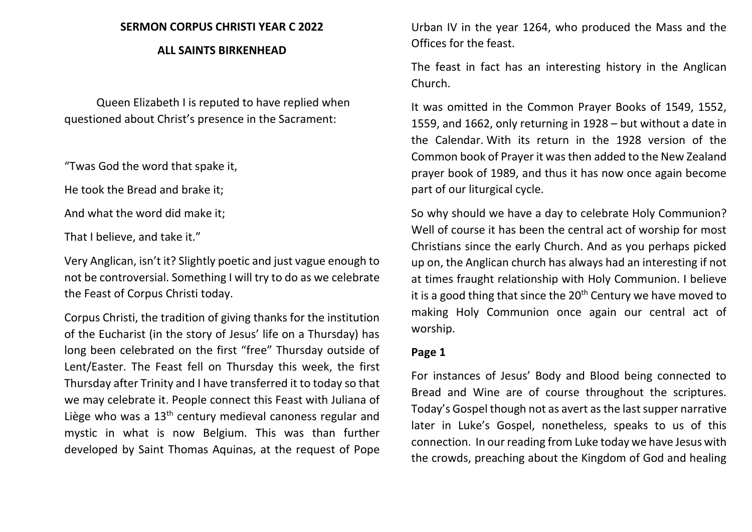#### **SERMON CORPUS CHRISTI YEAR C 2022**

#### **ALL SAINTS BIRKENHEAD**

Queen Elizabeth I is reputed to have replied when questioned about Christ's presence in the Sacrament:

"Twas God the word that spake it,

He took the Bread and brake it;

And what the word did make it;

That I believe, and take it."

Very Anglican, isn't it? Slightly poetic and just vague enough to not be controversial. Something I will try to do as we celebrate the Feast of Corpus Christi today.

Corpus Christi, the tradition of giving thanks for the institution of the Eucharist (in the story of Jesus' life on a Thursday) has long been celebrated on the first "free" Thursday outside of Lent/Easter. The Feast fell on Thursday this week, the first Thursday after Trinity and I have transferred it to today so that we may celebrate it. People connect this Feast with Juliana of Liège who was a 13<sup>th</sup> century medieval canoness regular and mystic in what is now Belgium. This was than further developed by Saint Thomas Aquinas, at the request of Pope

Urban IV in the year 1264, who produced the Mass and the Offices for the feast.

The feast in fact has an interesting history in the Anglican Church.

It was omitted in the Common Prayer Books of 1549, 1552, 1559, and 1662, only returning in 1928 – but without a date in the Calendar. With its return in the 1928 version of the Common book of Prayer it was then added to the New Zealand prayer book of 1989, and thus it has now once again become part of our liturgical cycle.

So why should we have a day to celebrate Holy Communion? Well of course it has been the central act of worship for most Christians since the early Church. And as you perhaps picked up on, the Anglican church has always had an interesting if not at times fraught relationship with Holy Communion. I believe it is a good thing that since the  $20<sup>th</sup>$  Century we have moved to making Holy Communion once again our central act of worship.

# **Page 1**

For instances of Jesus' Body and Blood being connected to Bread and Wine are of course throughout the scriptures. Today's Gospel though not as avert as the last supper narrative later in Luke's Gospel, nonetheless, speaks to us of this connection. In our reading from Luke today we have Jesus with the crowds, preaching about the Kingdom of God and healing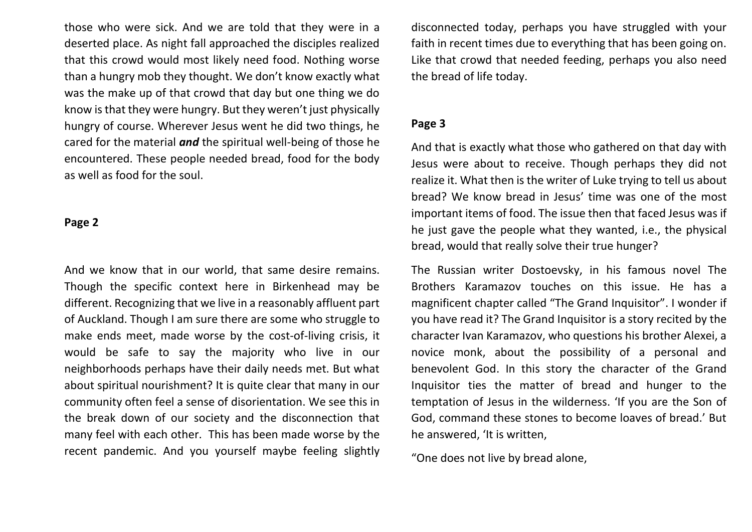those who were sick. And we are told that they were in a deserted place. As night fall approached the disciples realized that this crowd would most likely need food. Nothing worse than a hungry mob they thought. We don't know exactly what was the make up of that crowd that day but one thing we do know is that they were hungry. But they weren't just physically hungry of course. Wherever Jesus went he did two things, he cared for the material *and* the spiritual well-being of those he encountered. These people needed bread, food for the body as well as food for the soul.

### **Page 2**

And we know that in our world, that same desire remains. Though the specific context here in Birkenhead may be different. Recognizing that we live in a reasonably affluent part of Auckland. Though I am sure there are some who struggle to make ends meet, made worse by the cost-of-living crisis, it would be safe to say the majority who live in our neighborhoods perhaps have their daily needs met. But what about spiritual nourishment? It is quite clear that many in our community often feel a sense of disorientation. We see this in the break down of our society and the disconnection that many feel with each other. This has been made worse by the recent pandemic. And you yourself maybe feeling slightly

disconnected today, perhaps you have struggled with your faith in recent times due to everything that has been going on. Like that crowd that needed feeding, perhaps you also need the bread of life today.

## **Page 3**

And that is exactly what those who gathered on that day with Jesus were about to receive. Though perhaps they did not realize it. What then is the writer of Luke trying to tell us about bread? We know bread in Jesus' time was one of the most important items of food. The issue then that faced Jesus was if he just gave the people what they wanted, i.e., the physical bread, would that really solve their true hunger?

The Russian writer Dostoevsky, in his famous novel The Brothers Karamazov touches on this issue. He has a magnificent chapter called "The Grand Inquisitor". I wonder if you have read it? The Grand Inquisitor is a story recited by the character Ivan Karamazov, who questions his brother Alexei, a novice monk, about the possibility of a personal and benevolent God. In this story the character of the Grand Inquisitor ties the matter of bread and hunger to the temptation of Jesus in the wilderness. 'If you are the Son of God, command these stones to become loaves of bread.' But he answered, 'It is written,

"One does not live by bread alone,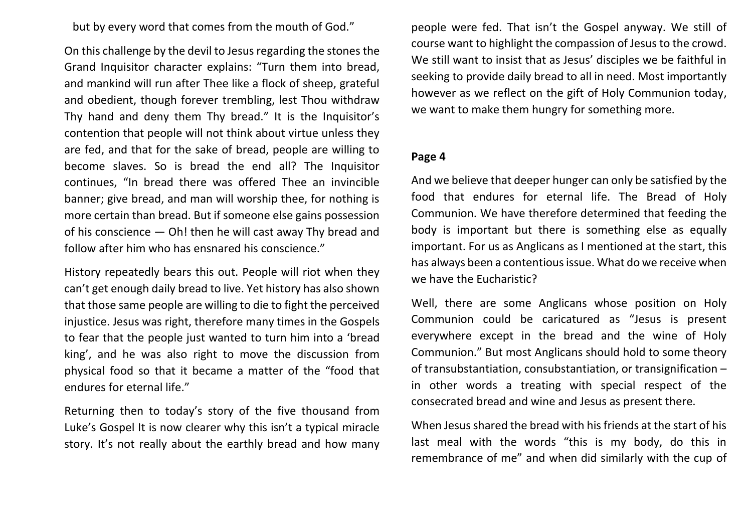but by every word that comes from the mouth of God."

On this challenge by the devil to Jesus regarding the stones the Grand Inquisitor character explains: "Turn them into bread, and mankind will run after Thee like a flock of sheep, grateful and obedient, though forever trembling, lest Thou withdraw Thy hand and deny them Thy bread." It is the Inquisitor's contention that people will not think about virtue unless they are fed, and that for the sake of bread, people are willing to become slaves. So is bread the end all? The Inquisitor continues, "In bread there was offered Thee an invincible banner; give bread, and man will worship thee, for nothing is more certain than bread. But if someone else gains possession of his conscience — Oh! then he will cast away Thy bread and follow after him who has ensnared his conscience."

History repeatedly bears this out. People will riot when they can't get enough daily bread to live. Yet history has also shown that those same people are willing to die to fight the perceived injustice. Jesus was right, therefore many times in the Gospels to fear that the people just wanted to turn him into a 'bread king', and he was also right to move the discussion from physical food so that it became a matter of the "food that endures for eternal life."

Returning then to today's story of the five thousand from Luke's Gospel It is now clearer why this isn't a typical miracle story. It's not really about the earthly bread and how many people were fed. That isn't the Gospel anyway. We still of course want to highlight the compassion of Jesus to the crowd. We still want to insist that as Jesus' disciples we be faithful in seeking to provide daily bread to all in need. Most importantly however as we reflect on the gift of Holy Communion today, we want to make them hungry for something more.

# **Page 4**

And we believe that deeper hunger can only be satisfied by the food that endures for eternal life. The Bread of Holy Communion. We have therefore determined that feeding the body is important but there is something else as equally important. For us as Anglicans as I mentioned at the start, this has always been a contentious issue. What do we receive when we have the Eucharistic?

Well, there are some Anglicans whose position on Holy Communion could be caricatured as "Jesus is present everywhere except in the bread and the wine of Holy Communion." But most Anglicans should hold to some theory of transubstantiation, consubstantiation, or transignification – in other words a treating with special respect of the consecrated bread and wine and Jesus as present there.

When Jesus shared the bread with his friends at the start of his last meal with the words "this is my body, do this in remembrance of me" and when did similarly with the cup of